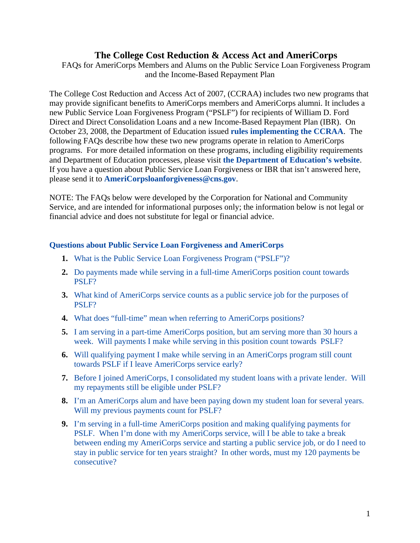# **The College Cost Reduction & Access Act and AmeriCorps**

<span id="page-0-0"></span>FAQs for AmeriCorps Members and Alums on the Public Service Loan Forgiveness Program and the Income-Based Repayment Plan

The College Cost Reduction and Access Act of 2007, (CCRAA) includes two new programs that may provide significant benefits to AmeriCorps members and AmeriCorps alumni. It includes a new Public Service Loan Forgiveness Program ("PSLF") for recipients of William D. Ford Direct and Direct Consolidation Loans and a new Income-Based Repayment Plan (IBR). On October 23, 2008, the Department of Education issued **[rules implementing the CCRAA](http://edocket.access.gpo.gov/2008/pdf/E8-24922.pdf)**. The following FAQs describe how these two new programs operate in relation to AmeriCorps programs. For more detailed information on these programs, including eligibility requirements and Department of Education processes, please visit **[the Department of Education's website](http://www.ed.gov/policy/highered/reg/hearulemaking/2008/loans.html)**. If you have a question about Public Service Loan Forgiveness or IBR that isn't answered here, please send it to **[AmeriCorpsloanforgiveness@cns.gov](mailto:AmeriCorpsloanforgiveness@cns.gov)**.

NOTE: The FAQs below were developed by the Corporation for National and Community Service, and are intended for informational purposes only; the information below is not legal or financial advice and does not substitute for legal or financial advice.

# **[Questions about Public Service Loan Forgiveness and AmeriCorps](#page-2-0)**

- **1.** [What is the Public Service Loan Forgiveness Program \("PSLF"\)?](#page-2-0)
- **2.** [Do payments made while serving in a full-time AmeriCorps position count towards](#page-3-0)  [PSLF?](#page-3-0)
- **3.** [What kind of AmeriCorps service counts as a public service job for the purposes of](#page-3-0)  [PSLF?](#page-3-0)
- **4.** [What does "full-time" mean when referring to AmeriCorps positions?](#page-4-0)
- **5.** [I am serving in a part-time AmeriCorps position, but am serving more than 30 hours a](#page-4-0)  [week. Will payments I make while serving in this position count towards PSLF?](#page-4-0)
- **6.** [Will qualifying payment I make while serving in an AmeriCorps program still count](#page-4-0)  [towards PSLF if I leave AmeriCorps service early?](#page-4-0)
- **7.** [Before I joined AmeriCorps, I consolidated my student loans with a private lender. Will](#page-5-0)  [my repayments still be eligible under PSLF?](#page-5-0)
- **8.** [I'm an AmeriCorps alum and have been paying down my student loan for several years.](#page-5-0)  [Will my previous payments count for PSLF?](#page-5-0)
- **9.** [I'm serving in a full-time AmeriCorps position and making qualifying payments for](#page-5-0)  [PSLF. When I'm done with my AmeriCorps service, will I be able to take a break](#page-5-0)  [between ending my AmeriCorps service and starting a public service job, or do I need to](#page-5-0)  [stay in public service for ten years straight? In other words, must my 120 payments be](#page-5-0)  [consecutive?](#page-5-0)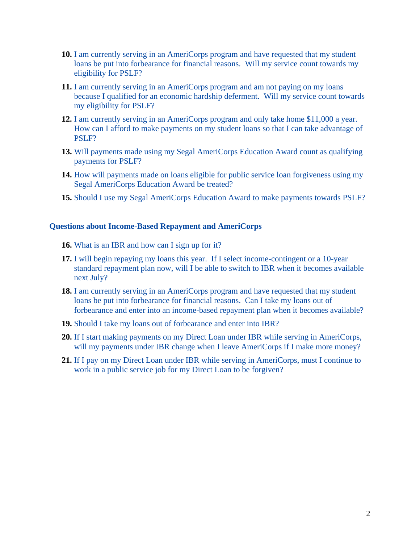- **10.** [I am currently serving in an AmeriCorps program and have requested that my student](#page-6-0)  [loans be put into forbearance for financial reasons. Will my service count towards my](#page-6-0)  [eligibility for PSLF?](#page-6-0)
- **11.** [I am currently serving in an AmeriCorps program and am not paying on my loans](#page-6-0)  [because I qualified for an economic hardship deferment. Will my service count towards](#page-6-0)  [my eligibility for PSLF?](#page-6-0)
- **12.** [I am currently serving in an AmeriCorps program and only take home \\$11,000 a year.](#page-6-0)  [How can I afford to make payments on my student loans so that I can take advantage of](#page-6-0)  [PSLF?](#page-6-0)
- **13.** Will payments made using my Segal AmeriCorps Education Award count as qualifying [payments for PSLF?](#page-6-0)
- **14.** [How will payments made on loans eligible for public service loan forgiveness using my](#page-7-0)  [Segal AmeriCorps Education Award be treated?](#page-7-0)
- **15.** [Should I use my Segal AmeriCorps Education Award to make payments towards PSLF?](#page-8-0)

### **[Questions about Income-Based Repayment and AmeriCorps](#page-8-0)**

- **16.** [What is an IBR and how can I sign up for it?](#page-8-0)
- **17.** I will begin repaying my loans this year. If I select income-contingent or a 10-year [standard repayment plan now, will I be able to switch to IBR when it becomes available](#page-9-0)  [next July?](#page-9-0)
- **18.** I am currently serving in an AmeriCorps program and have requested that my student [loans be put into forbearance for financial reasons. Can I take my loans out of](#page-9-0)  [forbearance and enter into an income-based repayment plan when it becomes available?](#page-9-0)
- **19.** [Should I take my loans out of forbearance and enter into IBR?](#page-9-0)
- **20.** [If I start making payments on my Direct Loan under IBR while serving in AmeriCorps,](#page-11-0)  will my payments under IBR change when I leave AmeriCorps if I make more money?
- **21.** [If I pay on my Direct Loan under IBR while serving in AmeriCorps, must I continue to](#page-11-0)  [work in a public service job for my Direct Loan to be forgiven?](#page-11-0)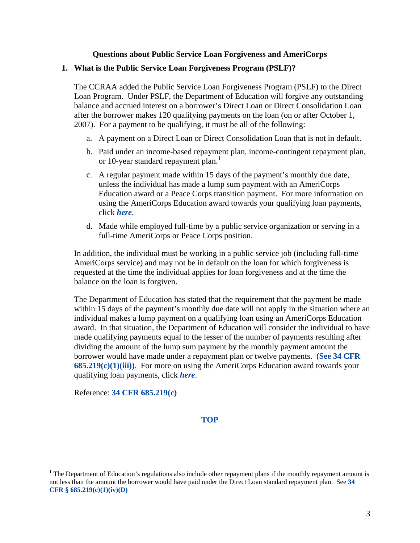## **Questions about Public Service Loan Forgiveness and AmeriCorps**

## <span id="page-2-0"></span>**1. What is the Public Service Loan Forgiveness Program (PSLF)?**

The CCRAA added the Public Service Loan Forgiveness Program (PSLF) to the Direct Loan Program. Under PSLF, the Department of Education will forgive any outstanding balance and accrued interest on a borrower's Direct Loan or Direct Consolidation Loan after the borrower makes 120 qualifying payments on the loan (on or after October 1, 2007). For a payment to be qualifying, it must be all of the following:

- a. A payment on a Direct Loan or Direct Consolidation Loan that is not in default.
- b. Paid under an income-based repayment plan, income-contingent repayment plan, or [1](#page-2-1)0-year standard repayment plan.<sup>1</sup>
- c. A regular payment made within 15 days of the payment's monthly due date, unless the individual has made a lump sum payment with an AmeriCorps Education award or a Peace Corps transition payment. For more information on using the AmeriCorps Education award towards your qualifying loan payments, click *[here](#page-2-0)*.
- d. Made while employed full-time by a public service organization or serving in a full-time AmeriCorps or Peace Corps position.

In addition, the individual must be working in a public service job (including full-time AmeriCorps service) and may not be in default on the loan for which forgiveness is requested at the time the individual applies for loan forgiveness and at the time the balance on the loan is forgiven.

The Department of Education has stated that the requirement that the payment be made within 15 days of the payment's monthly due date will not apply in the situation where an individual makes a lump payment on a qualifying loan using an AmeriCorps Education award. In that situation, the Department of Education will consider the individual to have made qualifying payments equal to the lesser of the number of payments resulting after dividing the amount of the lump sum payment by the monthly payment amount the borrower would have made under a repayment plan or twelve payments. (**[See 34 CFR](http://ecfr.gpoaccess.gov/cgi/t/text/text-idx?c=ecfr;sid=41b1e2ca8df4667f67ee1af5c907f716;rgn=div2;view=text;node=20081023%3A1.39;idno=34;cc=ecfr;start=1;size=25)  [685.219\(c\)\(1\)\(iii\)](http://ecfr.gpoaccess.gov/cgi/t/text/text-idx?c=ecfr;sid=41b1e2ca8df4667f67ee1af5c907f716;rgn=div2;view=text;node=20081023%3A1.39;idno=34;cc=ecfr;start=1;size=25)**). For more on using the AmeriCorps Education award towards your qualifying loan payments, click *[here](#page-7-0)*.

Reference: **[34 CFR 685.219\(c\)](http://ecfr.gpoaccess.gov/cgi/t/text/text-idx?c=ecfr;sid=41b1e2ca8df4667f67ee1af5c907f716;rgn=div2;view=text;node=20081023%3A1.39;idno=34;cc=ecfr;start=1;size=25)**

 $\overline{a}$ 

<span id="page-2-1"></span><sup>&</sup>lt;sup>1</sup> The Department of Education's regulations also include other repayment plans if the monthly repayment amount is not less than the amount the borrower would have paid under the Direct Loan standard repayment plan. See **[34](http://ecfr.gpoaccess.gov/cgi/t/text/text-idx?c=ecfr;sid=41b1e2ca8df4667f67ee1af5c907f716;rgn=div2;view=text;node=20081023%3A1.39;idno=34;cc=ecfr;start=1;size=25)  [CFR § 685.219\(c\)\(1\)\(iv\)\(D\)](http://ecfr.gpoaccess.gov/cgi/t/text/text-idx?c=ecfr;sid=41b1e2ca8df4667f67ee1af5c907f716;rgn=div2;view=text;node=20081023%3A1.39;idno=34;cc=ecfr;start=1;size=25)**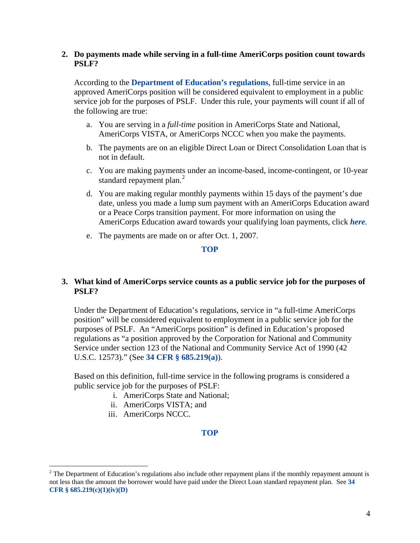# <span id="page-3-0"></span>**2. Do payments made while serving in a full-time AmeriCorps position count towards PSLF?**

According to the **[Department of Education's regulations](http://edocket.access.gpo.gov/2008/pdf/E8-24922.pdf)**, full-time service in an approved AmeriCorps position will be considered equivalent to employment in a public service job for the purposes of PSLF. Under this rule, your payments will count if all of the following are true:

- a. You are serving in a *full-time* position in AmeriCorps State and National, AmeriCorps VISTA, or AmeriCorps NCCC when you make the payments.
- b. The payments are on an eligible Direct Loan or Direct Consolidation Loan that is not in default.
- c. You are making payments under an income-based, income-contingent, or 10-year standard repayment plan. $^{2}$  $^{2}$  $^{2}$
- d. You are making regular monthly payments within 15 days of the payment's due date, unless you made a lump sum payment with an AmeriCorps Education award or a Peace Corps transition payment. For more information on using the AmeriCorps Education award towards your qualifying loan payments, click *[here](#page-7-0).*
- e. The payments are made on or after Oct. 1, 2007.

**[TOP](#page-0-0)**

# **3. What kind of AmeriCorps service counts as a public service job for the purposes of PSLF?**

Under the Department of Education's regulations, service in "a full-time AmeriCorps position" will be considered equivalent to employment in a public service job for the purposes of PSLF. An "AmeriCorps position" is defined in Education's proposed regulations as "a position approved by the Corporation for National and Community Service under section 123 of the National and Community Service Act of 1990 (42 U.S.C. 12573)." (See **[34 CFR § 685.219\(a\)](http://ecfr.gpoaccess.gov/cgi/t/text/text-idx?c=ecfr;sid=41b1e2ca8df4667f67ee1af5c907f716;rgn=div2;view=text;node=20081023%3A1.39;idno=34;cc=ecfr;start=1;size=25)**).

Based on this definition, full-time service in the following programs is considered a public service job for the purposes of PSLF:

- i. AmeriCorps State and National;
- ii. AmeriCorps VISTA; and
- iii. AmeriCorps NCCC.

 $\overline{a}$ 

<span id="page-3-1"></span> $2^2$  The Department of Education's regulations also include other repayment plans if the monthly repayment amount is not less than the amount the borrower would have paid under the Direct Loan standard repayment plan. See **[34](http://ecfr.gpoaccess.gov/cgi/t/text/text-idx?c=ecfr;sid=41b1e2ca8df4667f67ee1af5c907f716;rgn=div2;view=text;node=20081023%3A1.39;idno=34;cc=ecfr;start=1;size=25)  [CFR § 685.219\(c\)\(1\)\(iv\)\(D\)](http://ecfr.gpoaccess.gov/cgi/t/text/text-idx?c=ecfr;sid=41b1e2ca8df4667f67ee1af5c907f716;rgn=div2;view=text;node=20081023%3A1.39;idno=34;cc=ecfr;start=1;size=25)**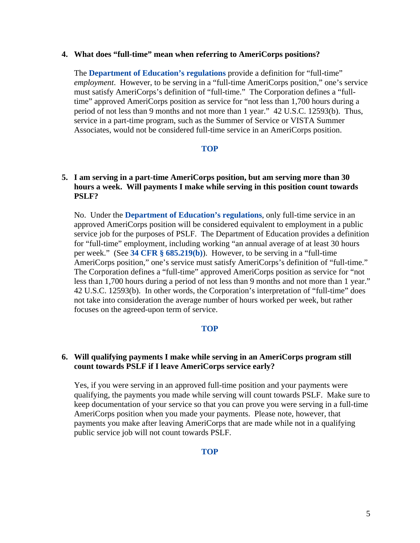### <span id="page-4-0"></span>**4. What does "full-time" mean when referring to AmeriCorps positions?**

The **[Department of Education's regulations](http://edocket.access.gpo.gov/2008/pdf/E8-24922.pdf)** provide a definition for "full-time" *employment*. However, to be serving in a "full-time AmeriCorps position," one's service must satisfy AmeriCorps's definition of "full-time." The Corporation defines a "fulltime" approved AmeriCorps position as service for "not less than 1,700 hours during a period of not less than 9 months and not more than 1 year." 42 U.S.C. 12593(b). Thus, service in a part-time program, such as the Summer of Service or VISTA Summer Associates, would not be considered full-time service in an AmeriCorps position.

## **[TOP](#page-0-0)**

# **5. I am serving in a part-time AmeriCorps position, but am serving more than 30 hours a week. Will payments I make while serving in this position count towards PSLF?**

No. Under the **[Department of Education's regulations](http://edocket.access.gpo.gov/2008/pdf/E8-24922.pdf)**, only full-time service in an approved AmeriCorps position will be considered equivalent to employment in a public service job for the purposes of PSLF. The Department of Education provides a definition for "full-time" employment, including working "an annual average of at least 30 hours per week." (See **[34 CFR § 685.219\(b\)](http://ecfr.gpoaccess.gov/cgi/t/text/text-idx?c=ecfr;sid=41b1e2ca8df4667f67ee1af5c907f716;rgn=div2;view=text;node=20081023%3A1.39;idno=34;cc=ecfr;start=1;size=25)**). However, to be serving in a "full-time AmeriCorps position," one's service must satisfy AmeriCorps's definition of "full-time." The Corporation defines a "full-time" approved AmeriCorps position as service for "not less than 1,700 hours during a period of not less than 9 months and not more than 1 year." 42 U.S.C. 12593(b). In other words, the Corporation's interpretation of "full-time" does not take into consideration the average number of hours worked per week, but rather focuses on the agreed-upon term of service.

## **[TOP](#page-0-0)**

## **6. Will qualifying payments I make while serving in an AmeriCorps program still count towards PSLF if I leave AmeriCorps service early?**

Yes, if you were serving in an approved full-time position and your payments were qualifying, the payments you made while serving will count towards PSLF. Make sure to keep documentation of your service so that you can prove you were serving in a full-time AmeriCorps position when you made your payments. Please note, however, that payments you make after leaving AmeriCorps that are made while not in a qualifying public service job will not count towards PSLF.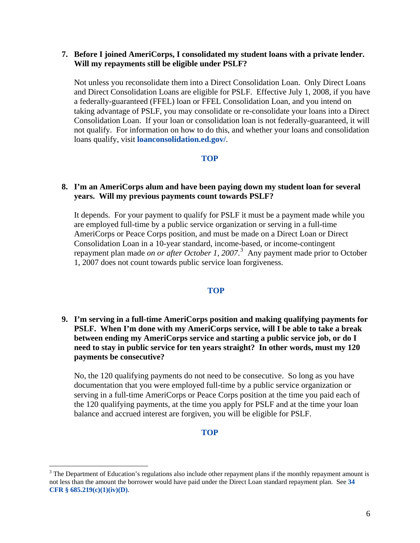## <span id="page-5-0"></span>**7. Before I joined AmeriCorps, I consolidated my student loans with a private lender. Will my repayments still be eligible under PSLF?**

Not unless you reconsolidate them into a Direct Consolidation Loan. Only Direct Loans and Direct Consolidation Loans are eligible for PSLF. Effective July 1, 2008, if you have a federally-guaranteed (FFEL) loan or FFEL Consolidation Loan, and you intend on taking advantage of PSLF, you may consolidate or re-consolidate your loans into a Direct Consolidation Loan. If your loan or consolidation loan is not federally-guaranteed, it will not qualify. For information on how to do this, and whether your loans and consolidation loans qualify, visit **[loanconsolidation.ed.gov/](http://loanconsolidation.ed.gov/)**.

## **[TOP](#page-0-0)**

# **8. I'm an AmeriCorps alum and have been paying down my student loan for several years. Will my previous payments count towards PSLF?**

It depends. For your payment to qualify for PSLF it must be a payment made while you are employed full-time by a public service organization or serving in a full-time AmeriCorps or Peace Corps position, and must be made on a Direct Loan or Direct Consolidation Loan in a 10-year standard, income-based, or income-contingent repayment plan made *on or after October 1, 2007*. [3](#page-5-1) Any payment made prior to October 1, 2007 does not count towards public service loan forgiveness.

### **[TOP](#page-0-0)**

**9. I'm serving in a full-time AmeriCorps position and making qualifying payments for PSLF. When I'm done with my AmeriCorps service, will I be able to take a break between ending my AmeriCorps service and starting a public service job, or do I need to stay in public service for ten years straight? In other words, must my 120 payments be consecutive?** 

No, the 120 qualifying payments do not need to be consecutive. So long as you have documentation that you were employed full-time by a public service organization or serving in a full-time AmeriCorps or Peace Corps position at the time you paid each of the 120 qualifying payments, at the time you apply for PSLF and at the time your loan balance and accrued interest are forgiven, you will be eligible for PSLF.

### **[TOP](#page-0-0)**

 $\overline{a}$ 

<span id="page-5-1"></span> $3$  The Department of Education's regulations also include other repayment plans if the monthly repayment amount is not less than the amount the borrower would have paid under the Direct Loan standard repayment plan. See **[34](http://ecfr.gpoaccess.gov/cgi/t/text/text-idx?c=ecfr;sid=41b1e2ca8df4667f67ee1af5c907f716;rgn=div2;view=text;node=20081023%3A1.39;idno=34;cc=ecfr;start=1;size=25)  [CFR § 685.219\(c\)\(1\)\(iv\)\(D\)](http://ecfr.gpoaccess.gov/cgi/t/text/text-idx?c=ecfr;sid=41b1e2ca8df4667f67ee1af5c907f716;rgn=div2;view=text;node=20081023%3A1.39;idno=34;cc=ecfr;start=1;size=25)**.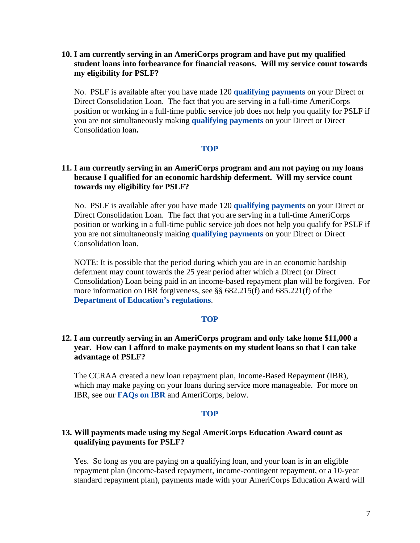# <span id="page-6-0"></span>**10. I am currently serving in an AmeriCorps program and have put my qualified student loans into forbearance for financial reasons. Will my service count towards my eligibility for PSLF?**

No. PSLF is available after you have made 120 **[qualifying payments](#page-2-0)** on your Direct or Direct Consolidation Loan. The fact that you are serving in a full-time AmeriCorps position or working in a full-time public service job does not help you qualify for PSLF if you are not simultaneously making **[qualifying payments](#page-2-0)** on your Direct or Direct Consolidation loan**.** 

## **[TOP](#page-0-0)**

# **11. I am currently serving in an AmeriCorps program and am not paying on my loans because I qualified for an economic hardship deferment. Will my service count towards my eligibility for PSLF?**

No. PSLF is available after you have made 120 **[qualifying payments](#page-2-0)** on your Direct or Direct Consolidation Loan. The fact that you are serving in a full-time AmeriCorps position or working in a full-time public service job does not help you qualify for PSLF if you are not simultaneously making **[qualifying payments](#page-2-0)** on your Direct or Direct Consolidation loan.

NOTE: It is possible that the period during which you are in an economic hardship deferment may count towards the 25 year period after which a Direct (or Direct Consolidation) Loan being paid in an income-based repayment plan will be forgiven. For more information on IBR forgiveness, see §§ 682.215(f) and 685.221(f) of the **[Department of Education's regulations](http://edocket.access.gpo.gov/2008/pdf/E8-24922.pdf)**.

## **[TOP](#page-0-0)**

# **12. I am currently serving in an AmeriCorps program and only take home \$11,000 a year. How can I afford to make payments on my student loans so that I can take advantage of PSLF?**

The CCRAA created a new loan repayment plan, Income-Based Repayment (IBR), which may make paying on your loans during service more manageable. For more on IBR, see our **[FAQs on IBR](#page-8-0)** and AmeriCorps, below.

### **[TOP](#page-0-0)**

## **13. Will payments made using my Segal AmeriCorps Education Award count as qualifying payments for PSLF?**

Yes. So long as you are paying on a qualifying loan, and your loan is in an eligible repayment plan (income-based repayment, income-contingent repayment, or a 10-year standard repayment plan), payments made with your AmeriCorps Education Award will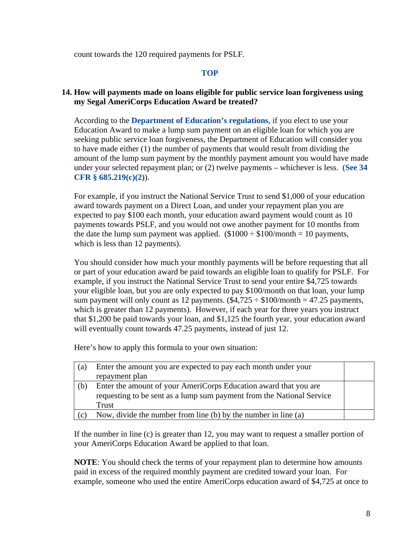<span id="page-7-0"></span>count towards the 120 required payments for PSLF.

# **[TOP](#page-0-0)**

# **14. How will payments made on loans eligible for public service loan forgiveness using my Segal AmeriCorps Education Award be treated?**

According to the **[Department of Education's regulations](http://edocket.access.gpo.gov/2008/pdf/E8-24922.pdf)**, if you elect to use your Education Award to make a lump sum payment on an eligible loan for which you are seeking public service loan forgiveness, the Department of Education will consider you to have made either (1) the number of payments that would result from dividing the amount of the lump sum payment by the monthly payment amount you would have made under your selected repayment plan; or (2) twelve payments – whichever is less. (**[See 34](http://ecfr.gpoaccess.gov/cgi/t/text/text-idx?c=ecfr;sid=41b1e2ca8df4667f67ee1af5c907f716;rgn=div2;view=text;node=20081023%3A1.39;idno=34;cc=ecfr;start=1;size=25)  [CFR § 685.219\(c\)\(2\)](http://ecfr.gpoaccess.gov/cgi/t/text/text-idx?c=ecfr;sid=41b1e2ca8df4667f67ee1af5c907f716;rgn=div2;view=text;node=20081023%3A1.39;idno=34;cc=ecfr;start=1;size=25)**).

For example, if you instruct the National Service Trust to send \$1,000 of your education award towards payment on a Direct Loan, and under your repayment plan you are expected to pay \$100 each month, your education award payment would count as 10 payments towards PSLF, and you would not owe another payment for 10 months from the date the lump sum payment was applied.  $(\$1000 \div \$100/$ month = 10 payments, which is less than 12 payments).

You should consider how much your monthly payments will be before requesting that all or part of your education award be paid towards an eligible loan to qualify for PSLF. For example, if you instruct the National Service Trust to send your entire \$4,725 towards your eligible loan, but you are only expected to pay \$100/month on that loan, your lump sum payment will only count as 12 payments.  $(\$4,725 \div \$100/\text{month} = 47.25$  payments, which is greater than 12 payments). However, if each year for three years you instruct that \$1,200 be paid towards your loan, and \$1,125 the fourth year, your education award will eventually count towards 47.25 payments, instead of just 12.

Here's how to apply this formula to your own situation:

| (a) | Enter the amount you are expected to pay each month under your<br>repayment plan                                                                   |  |
|-----|----------------------------------------------------------------------------------------------------------------------------------------------------|--|
| (b) | Enter the amount of your AmeriCorps Education award that you are<br>requesting to be sent as a lump sum payment from the National Service<br>Trust |  |
| (c) | Now, divide the number from line (b) by the number in line (a)                                                                                     |  |

If the number in line (c) is greater than 12, you may want to request a smaller portion of your AmeriCorps Education Award be applied to that loan.

**NOTE**: You should check the terms of your repayment plan to determine how amounts paid in excess of the required monthly payment are credited toward your loan. For example, someone who used the entire AmeriCorps education award of \$4,725 at once to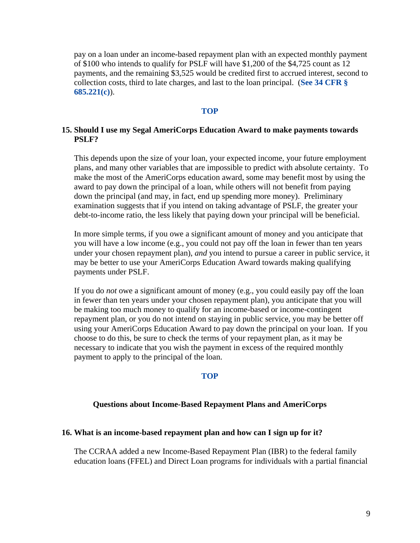<span id="page-8-0"></span>pay on a loan under an income-based repayment plan with an expected monthly payment of \$100 who intends to qualify for PSLF will have \$1,200 of the \$4,725 count as 12 payments, and the remaining \$3,525 would be credited first to accrued interest, second to collection costs, third to late charges, and last to the loan principal. (**[See 34 CFR §](http://ecfr.gpoaccess.gov/cgi/t/text/text-idx?c=ecfr;sid=a631a2ced97e8d2867b9722c9050f13c;rgn=div2;view=text;node=20081023%3A1.41;idno=34;cc=ecfr;start=1;size=25)  [685.221\(c\)](http://ecfr.gpoaccess.gov/cgi/t/text/text-idx?c=ecfr;sid=a631a2ced97e8d2867b9722c9050f13c;rgn=div2;view=text;node=20081023%3A1.41;idno=34;cc=ecfr;start=1;size=25)**).

### **[TOP](#page-0-0)**

## **15. Should I use my Segal AmeriCorps Education Award to make payments towards PSLF?**

This depends upon the size of your loan, your expected income, your future employment plans, and many other variables that are impossible to predict with absolute certainty. To make the most of the AmeriCorps education award, some may benefit most by using the award to pay down the principal of a loan, while others will not benefit from paying down the principal (and may, in fact, end up spending more money). Preliminary examination suggests that if you intend on taking advantage of PSLF, the greater your debt-to-income ratio, the less likely that paying down your principal will be beneficial.

In more simple terms, if you owe a significant amount of money and you anticipate that you will have a low income (e.g., you could not pay off the loan in fewer than ten years under your chosen repayment plan), *and* you intend to pursue a career in public service, it may be better to use your AmeriCorps Education Award towards making qualifying payments under PSLF.

If you do *not* owe a significant amount of money (e.g., you could easily pay off the loan in fewer than ten years under your chosen repayment plan), you anticipate that you will be making too much money to qualify for an income-based or income-contingent repayment plan, or you do not intend on staying in public service, you may be better off using your AmeriCorps Education Award to pay down the principal on your loan. If you choose to do this, be sure to check the terms of your repayment plan, as it may be necessary to indicate that you wish the payment in excess of the required monthly payment to apply to the principal of the loan.

#### **[TOP](#page-0-0)**

## **Questions about Income-Based Repayment Plans and AmeriCorps**

#### **16. What is an income-based repayment plan and how can I sign up for it?**

The CCRAA added a new Income-Based Repayment Plan (IBR) to the federal family education loans (FFEL) and Direct Loan programs for individuals with a partial financial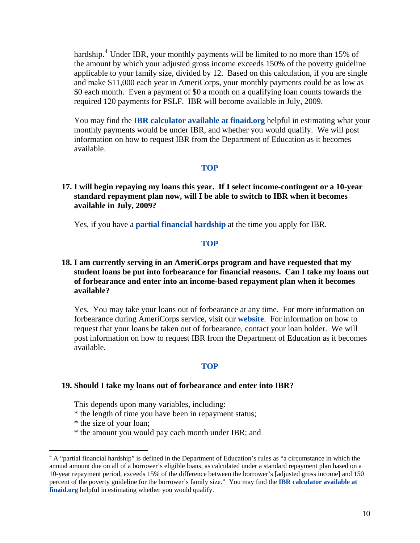<span id="page-9-0"></span>hardship.<sup>4</sup> Under IBR, your monthly payments will be limited to no more than 15% of the amount by which your adjusted gross income exceeds 150% of the poverty guideli ne applicable to your family size, divided by 12. Based on this calculation, if you are single and make \$11,000 each year in AmeriCorps, your monthly payments could be as low as \$0 each month. Even a payment of \$0 a month on a qualifying loan counts towards the required 120 payments for PSLF. IBR will become available in July, 2009.

You may find the **IBR calculator available at finaid.org** helpful in estimating what your monthly payments would be under IBR, and whether you would qualify. We will post information on how to request IBR from the Department of Education as it becomes available.

#### **[TOP](#page-0-0)**

**17. I will begin repaying my loans this year. If I select income-contingent or a 10-year standard repayment plan now, will I be able to switch to IBR when it becomes available in July, 2009?** 

Yes, if you have a **[partial financial hardship](#page-9-0)** at the time you apply for IBR.

#### **[TOP](#page-0-0)**

# **18. I am currently serving in an AmeriCorps program and have requested that my student loans be put into forbearance for financial reasons. Can I take my loans out of forbearance and enter into an income-based repayment plan when it becomes available?**

Yes. You may take your loans out of forbearance at any time. For more information on forbearance during AmeriCorps service, visit our **[website](http://www.americorps.gov/for_individuals/benefits/benefits_ed_award_repayment.asp)**. For information on how to request that your loans be taken out of forbearance, contact your loan holder. We will post information on how to request IBR from the Department of Education as it becomes available.

#### **[TOP](#page-0-0)**

#### **19. Should I take my loans out of forbearance and enter into IBR?**

This depends upon many variables, including:

- \* the length of time you have been in repayment status;
- \* the size of your loan;

 $\overline{a}$ 

\* the amount you would pay each month under IBR; and

<sup>&</sup>lt;sup>4</sup> A "partial financial hardship" is defined in the Department of Education's rules as "a circumstance in which the annual amount due on all of a borrower's eligible loans, as calculated under a standard repayment plan based on a 10-year repayment period, exceeds 15% of the difference between the borrower's [adjusted gross income] and 150 percent of the poverty guideline for the borrower's family size." You may find the **[IBR calculator available at](http://www.finaid.org/calculators/ibr.phtml)  [finaid.org](http://www.finaid.org/calculators/ibr.phtml)** helpful in estimating whether you would qualify.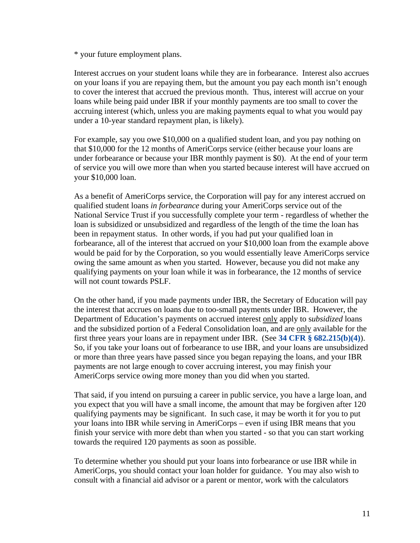\* your future employment plans.

Interest accrues on your student loans while they are in forbearance. Interest also accrues on your loans if you are repaying them, but the amount you pay each month isn't enough to cover the interest that accrued the previous month. Thus, interest will accrue on your loans while being paid under IBR if your monthly payments are too small to cover the accruing interest (which, unless you are making payments equal to what you would pay under a 10-year standard repayment plan, is likely).

For example, say you owe \$10,000 on a qualified student loan, and you pay nothing on that \$10,000 for the 12 months of AmeriCorps service (either because your loans are under forbearance or because your IBR monthly payment is \$0). At the end of your term of service you will owe more than when you started because interest will have accrued on your \$10,000 loan.

As a benefit of AmeriCorps service, the Corporation will pay for any interest accrued on qualified student loans *in forbearance* during your AmeriCorps service out of the National Service Trust if you successfully complete your term - regardless of whether the loan is subsidized or unsubsidized and regardless of the length of the time the loan has been in repayment status. In other words, if you had put your qualified loan in forbearance, all of the interest that accrued on your \$10,000 loan from the example above would be paid for by the Corporation, so you would essentially leave AmeriCorps service owing the same amount as when you started. However, because you did not make any qualifying payments on your loan while it was in forbearance, the 12 months of service will not count towards PSLF.

On the other hand, if you made payments under IBR, the Secretary of Education will pay the interest that accrues on loans due to too-small payments under IBR. However, the Department of Education's payments on accrued interest only apply to s*ubsidized* loans and the subsidized portion of a Federal Consolidation loan, and are only available for the first three years your loans are in repayment under IBR. (See **34 CFR § 682.215(b)(4)**). So, if you take your loans out of forbearance to use IBR, and your loans are unsubsidized or more than three years have passed since you began repaying the loans, and your IBR payments are not large enough to cover accruing interest, you may finish your AmeriCorps service owing more money than you did when you started.

That said, if you intend on pursuing a career in public service, you have a large loan, and you expect that you will have a small income, the amount that may be forgiven after 120 qualifying payments may be significant. In such case, it may be worth it for you to put your loans into IBR while serving in AmeriCorps – even if using IBR means that you finish your service with more debt than when you started - so that you can start working towards the required 120 payments as soon as possible.

To determine whether you should put your loans into forbearance or use IBR while in AmeriCorps, you should contact your loan holder for guidance. You may also wish to consult with a financial aid advisor or a parent or mentor, work with the calculators